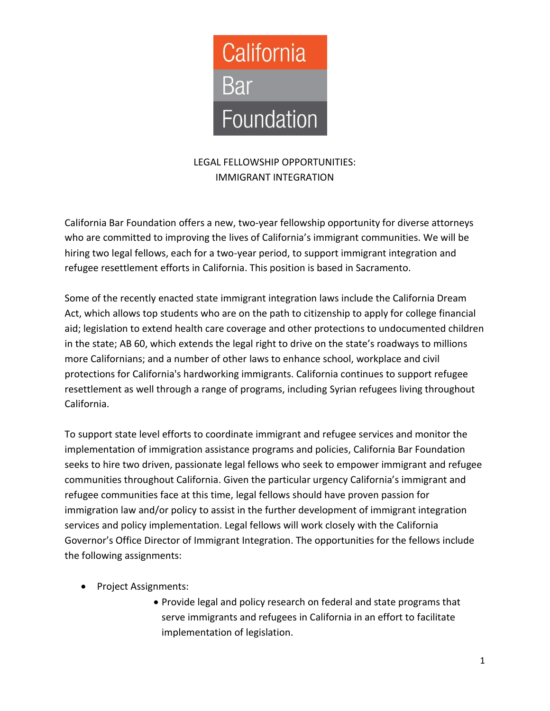

# LEGAL FELLOWSHIP OPPORTUNITIES: IMMIGRANT INTEGRATION

California Bar Foundation offers a new, two-year fellowship opportunity for diverse attorneys who are committed to improving the lives of California's immigrant communities. We will be hiring two legal fellows, each for a two-year period, to support immigrant integration and refugee resettlement efforts in California. This position is based in Sacramento.

Some of the recently enacted state immigrant integration laws include the California Dream Act, which allows top students who are on the path to citizenship to apply for college financial aid; legislation to extend health care coverage and other protections to undocumented children in the state; AB 60, which extends the legal right to drive on the state's roadways to millions more Californians; and a number of other laws to enhance school, workplace and civil protections for California's hardworking immigrants. California continues to support refugee resettlement as well through a range of programs, including Syrian refugees living throughout California.

To support state level efforts to coordinate immigrant and refugee services and monitor the implementation of immigration assistance programs and policies, California Bar Foundation seeks to hire two driven, passionate legal fellows who seek to empower immigrant and refugee communities throughout California. Given the particular urgency California's immigrant and refugee communities face at this time, legal fellows should have proven passion for immigration law and/or policy to assist in the further development of immigrant integration services and policy implementation. Legal fellows will work closely with the California Governor's Office Director of Immigrant Integration. The opportunities for the fellows include the following assignments:

- Project Assignments:
	- Provide legal and policy research on federal and state programs that serve immigrants and refugees in California in an effort to facilitate implementation of legislation.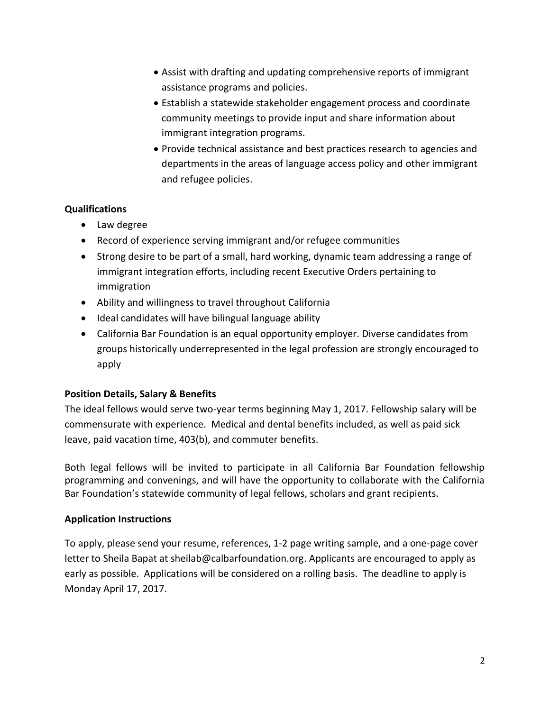- Assist with drafting and updating comprehensive reports of immigrant assistance programs and policies.
- Establish a statewide stakeholder engagement process and coordinate community meetings to provide input and share information about immigrant integration programs.
- Provide technical assistance and best practices research to agencies and departments in the areas of language access policy and other immigrant and refugee policies.

## **Qualifications**

- Law degree
- Record of experience serving immigrant and/or refugee communities
- Strong desire to be part of a small, hard working, dynamic team addressing a range of immigrant integration efforts, including recent Executive Orders pertaining to immigration
- Ability and willingness to travel throughout California
- Ideal candidates will have bilingual language ability
- California Bar Foundation is an equal opportunity employer. Diverse candidates from groups historically underrepresented in the legal profession are strongly encouraged to apply

### **Position Details, Salary & Benefits**

The ideal fellows would serve two-year terms beginning May 1, 2017. Fellowship salary will be commensurate with experience. Medical and dental benefits included, as well as paid sick leave, paid vacation time, 403(b), and commuter benefits.

Both legal fellows will be invited to participate in all California Bar Foundation fellowship programming and convenings, and will have the opportunity to collaborate with the California Bar Foundation's statewide community of legal fellows, scholars and grant recipients.

### **Application Instructions**

To apply, please send your resume, references, 1-2 page writing sample, and a one-page cover letter to Sheila Bapat at sheilab@calbarfoundation.org. Applicants are encouraged to apply as early as possible. Applications will be considered on a rolling basis. The deadline to apply is Monday April 17, 2017.